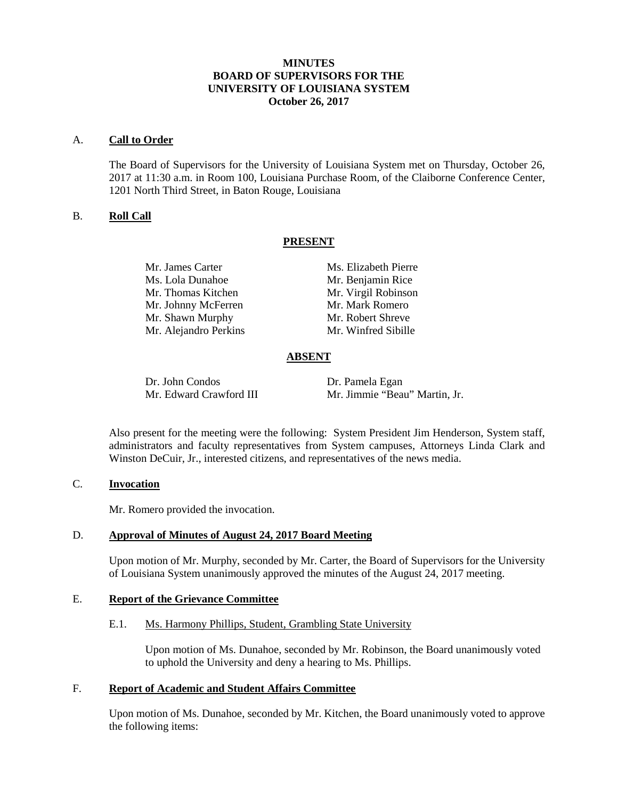## **MINUTES BOARD OF SUPERVISORS FOR THE UNIVERSITY OF LOUISIANA SYSTEM October 26, 2017**

#### A. **Call to Order**

The Board of Supervisors for the University of Louisiana System met on Thursday, October 26, 2017 at 11:30 a.m. in Room 100, Louisiana Purchase Room, of the Claiborne Conference Center, 1201 North Third Street, in Baton Rouge, Louisiana

## B. **Roll Call**

## **PRESENT**

Ms. Lola Dunahoe Mr. Benjamin Rice Mr. Thomas Kitchen Mr. Virgil Robinson Mr. Johnny McFerren Mr. Mark Romero Mr. Shawn Murphy Mr. Robert Shreve Mr. Alejandro Perkins Mr. Winfred Sibille

Mr. James Carter Ms. Elizabeth Pierre

## **ABSENT**

Dr. John Condos Dr. Pamela Egan<br>Mr. Edward Crawford III Mr. Jimmie "Bea

Mr. Jimmie "Beau" Martin, Jr.

Also present for the meeting were the following: System President Jim Henderson, System staff, administrators and faculty representatives from System campuses, Attorneys Linda Clark and Winston DeCuir, Jr., interested citizens, and representatives of the news media.

# C. **Invocation**

Mr. Romero provided the invocation.

## D. **Approval of Minutes of August 24, 2017 Board Meeting**

Upon motion of Mr. Murphy, seconded by Mr. Carter, the Board of Supervisors for the University of Louisiana System unanimously approved the minutes of the August 24, 2017 meeting.

# E. **Report of the Grievance Committee**

## E.1. Ms. Harmony Phillips, Student, Grambling State University

Upon motion of Ms. Dunahoe, seconded by Mr. Robinson, the Board unanimously voted to uphold the University and deny a hearing to Ms. Phillips.

#### F. **Report of Academic and Student Affairs Committee**

Upon motion of Ms. Dunahoe, seconded by Mr. Kitchen, the Board unanimously voted to approve the following items: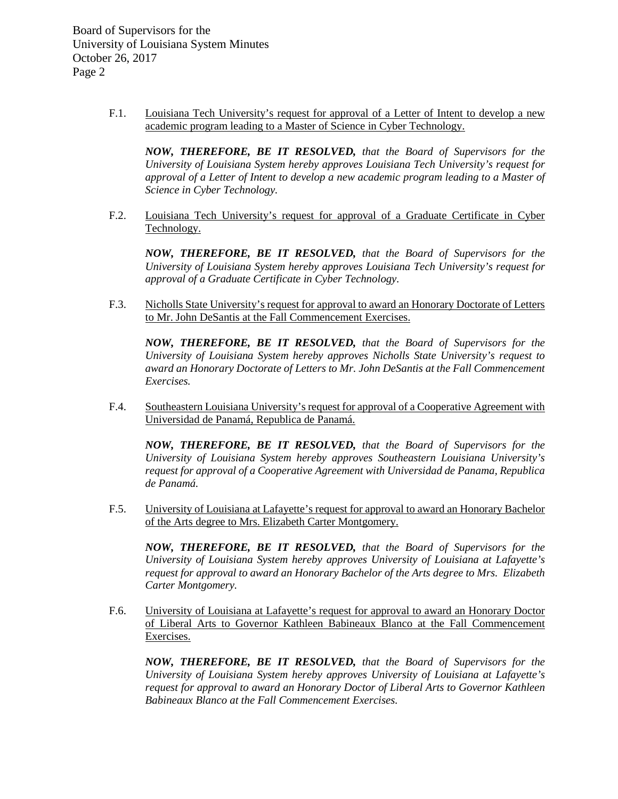> F.1. Louisiana Tech University's request for approval of a Letter of Intent to develop a new academic program leading to a Master of Science in Cyber Technology.

*NOW, THEREFORE, BE IT RESOLVED, that the Board of Supervisors for the University of Louisiana System hereby approves Louisiana Tech University's request for approval of a Letter of Intent to develop a new academic program leading to a Master of Science in Cyber Technology.*

F.2. Louisiana Tech University's request for approval of a Graduate Certificate in Cyber Technology.

*NOW, THEREFORE, BE IT RESOLVED, that the Board of Supervisors for the University of Louisiana System hereby approves Louisiana Tech University's request for approval of a Graduate Certificate in Cyber Technology.*

F.3. Nicholls State University's request for approval to award an Honorary Doctorate of Letters to Mr. John DeSantis at the Fall Commencement Exercises.

*NOW, THEREFORE, BE IT RESOLVED, that the Board of Supervisors for the University of Louisiana System hereby approves Nicholls State University's request to award an Honorary Doctorate of Letters to Mr. John DeSantis at the Fall Commencement Exercises.*

F.4. Southeastern Louisiana University's request for approval of a Cooperative Agreement with Universidad de Panamá, Republica de Panamá.

*NOW, THEREFORE, BE IT RESOLVED, that the Board of Supervisors for the University of Louisiana System hereby approves Southeastern Louisiana University's request for approval of a Cooperative Agreement with Universidad de Panama, Republica de Panamá.*

F.5. University of Louisiana at Lafayette's request for approval to award an Honorary Bachelor of the Arts degree to Mrs. Elizabeth Carter Montgomery.

*NOW, THEREFORE, BE IT RESOLVED, that the Board of Supervisors for the University of Louisiana System hereby approves University of Louisiana at Lafayette's request for approval to award an Honorary Bachelor of the Arts degree to Mrs. Elizabeth Carter Montgomery.*

F.6. University of Louisiana at Lafayette's request for approval to award an Honorary Doctor of Liberal Arts to Governor Kathleen Babineaux Blanco at the Fall Commencement Exercises.

*NOW, THEREFORE, BE IT RESOLVED, that the Board of Supervisors for the University of Louisiana System hereby approves University of Louisiana at Lafayette's request for approval to award an Honorary Doctor of Liberal Arts to Governor Kathleen Babineaux Blanco at the Fall Commencement Exercises.*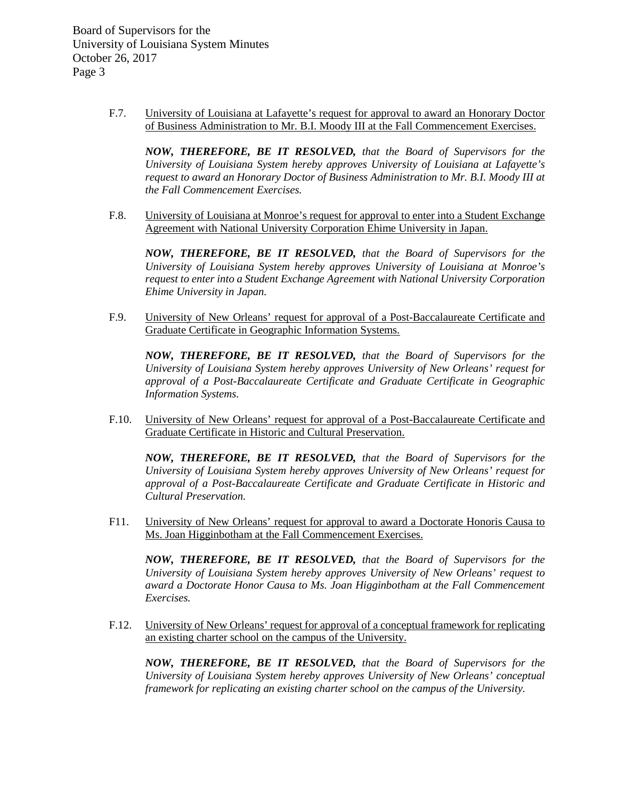> F.7. University of Louisiana at Lafayette's request for approval to award an Honorary Doctor of Business Administration to Mr. B.I. Moody III at the Fall Commencement Exercises.

*NOW, THEREFORE, BE IT RESOLVED, that the Board of Supervisors for the University of Louisiana System hereby approves University of Louisiana at Lafayette's request to award an Honorary Doctor of Business Administration to Mr. B.I. Moody III at the Fall Commencement Exercises.*

F.8. University of Louisiana at Monroe's request for approval to enter into a Student Exchange Agreement with National University Corporation Ehime University in Japan.

*NOW, THEREFORE, BE IT RESOLVED, that the Board of Supervisors for the University of Louisiana System hereby approves University of Louisiana at Monroe's request to enter into a Student Exchange Agreement with National University Corporation Ehime University in Japan.*

F.9. University of New Orleans' request for approval of a Post-Baccalaureate Certificate and Graduate Certificate in Geographic Information Systems.

*NOW, THEREFORE, BE IT RESOLVED, that the Board of Supervisors for the University of Louisiana System hereby approves University of New Orleans' request for approval of a Post-Baccalaureate Certificate and Graduate Certificate in Geographic Information Systems.*

F.10. University of New Orleans' request for approval of a Post-Baccalaureate Certificate and Graduate Certificate in Historic and Cultural Preservation.

*NOW, THEREFORE, BE IT RESOLVED, that the Board of Supervisors for the University of Louisiana System hereby approves University of New Orleans' request for approval of a Post-Baccalaureate Certificate and Graduate Certificate in Historic and Cultural Preservation.*

F11. University of New Orleans' request for approval to award a Doctorate Honoris Causa to Ms. Joan Higginbotham at the Fall Commencement Exercises.

*NOW, THEREFORE, BE IT RESOLVED, that the Board of Supervisors for the University of Louisiana System hereby approves University of New Orleans' request to award a Doctorate Honor Causa to Ms. Joan Higginbotham at the Fall Commencement Exercises.*

F.12. University of New Orleans' request for approval of a conceptual framework for replicating an existing charter school on the campus of the University.

*NOW, THEREFORE, BE IT RESOLVED, that the Board of Supervisors for the University of Louisiana System hereby approves University of New Orleans' conceptual framework for replicating an existing charter school on the campus of the University.*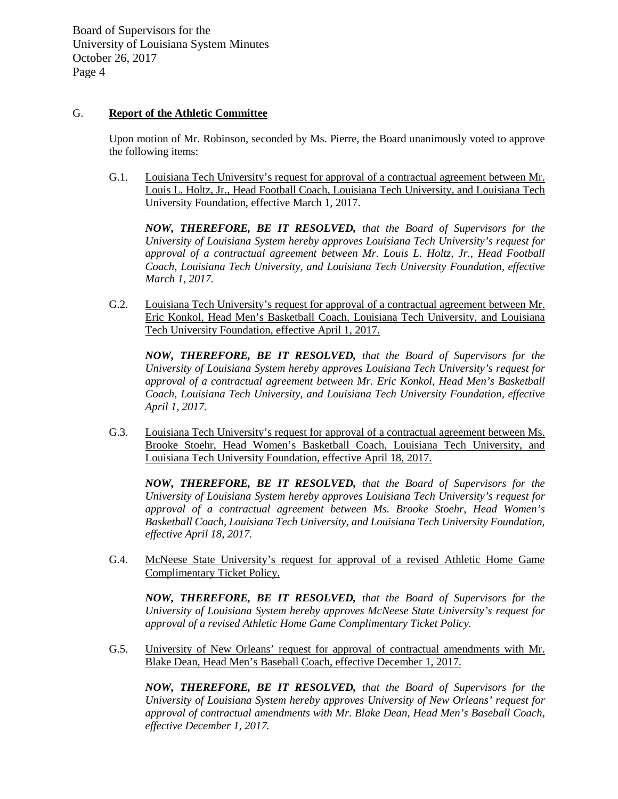## G. **Report of the Athletic Committee**

Upon motion of Mr. Robinson, seconded by Ms. Pierre, the Board unanimously voted to approve the following items:

G.1. Louisiana Tech University's request for approval of a contractual agreement between Mr. Louis L. Holtz, Jr., Head Football Coach, Louisiana Tech University, and Louisiana Tech University Foundation, effective March 1, 2017.

*NOW, THEREFORE, BE IT RESOLVED, that the Board of Supervisors for the University of Louisiana System hereby approves Louisiana Tech University's request for approval of a contractual agreement between Mr. Louis L. Holtz, Jr., Head Football Coach, Louisiana Tech University, and Louisiana Tech University Foundation, effective March 1, 2017.*

G.2. Louisiana Tech University's request for approval of a contractual agreement between Mr. Eric Konkol, Head Men's Basketball Coach, Louisiana Tech University, and Louisiana Tech University Foundation, effective April 1, 2017.

*NOW, THEREFORE, BE IT RESOLVED, that the Board of Supervisors for the University of Louisiana System hereby approves Louisiana Tech University's request for approval of a contractual agreement between Mr. Eric Konkol, Head Men's Basketball Coach, Louisiana Tech University, and Louisiana Tech University Foundation, effective April 1, 2017.* 

G.3. Louisiana Tech University's request for approval of a contractual agreement between Ms. Brooke Stoehr, Head Women's Basketball Coach, Louisiana Tech University, and Louisiana Tech University Foundation, effective April 18, 2017.

*NOW, THEREFORE, BE IT RESOLVED, that the Board of Supervisors for the University of Louisiana System hereby approves Louisiana Tech University's request for approval of a contractual agreement between Ms. Brooke Stoehr, Head Women's Basketball Coach, Louisiana Tech University, and Louisiana Tech University Foundation, effective April 18, 2017.* 

G.4. McNeese State University's request for approval of a revised Athletic Home Game Complimentary Ticket Policy.

*NOW, THEREFORE, BE IT RESOLVED, that the Board of Supervisors for the University of Louisiana System hereby approves McNeese State University's request for approval of a revised Athletic Home Game Complimentary Ticket Policy.*

G.5. University of New Orleans' request for approval of contractual amendments with Mr. Blake Dean, Head Men's Baseball Coach, effective December 1, 2017.

*NOW, THEREFORE, BE IT RESOLVED, that the Board of Supervisors for the University of Louisiana System hereby approves University of New Orleans' request for approval of contractual amendments with Mr. Blake Dean, Head Men's Baseball Coach, effective December 1, 2017.*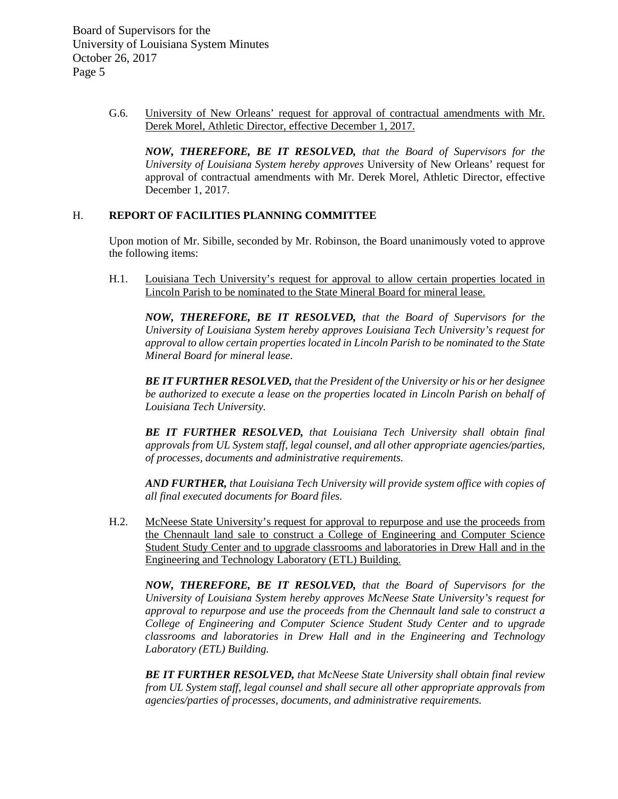> G.6. University of New Orleans' request for approval of contractual amendments with Mr. Derek Morel, Athletic Director, effective December 1, 2017.

*NOW, THEREFORE, BE IT RESOLVED, that the Board of Supervisors for the University of Louisiana System hereby approves* University of New Orleans' request for approval of contractual amendments with Mr. Derek Morel, Athletic Director, effective December 1, 2017.

#### H. **REPORT OF FACILITIES PLANNING COMMITTEE**

Upon motion of Mr. Sibille, seconded by Mr. Robinson, the Board unanimously voted to approve the following items:

H.1. Louisiana Tech University's request for approval to allow certain properties located in Lincoln Parish to be nominated to the State Mineral Board for mineral lease.

*NOW, THEREFORE, BE IT RESOLVED, that the Board of Supervisors for the University of Louisiana System hereby approves Louisiana Tech University's request for approval to allow certain properties located in Lincoln Parish to be nominated to the State Mineral Board for mineral lease.*

*BE IT FURTHER RESOLVED, that the President of the University or his or her designee be authorized to execute a lease on the properties located in Lincoln Parish on behalf of Louisiana Tech University.*

*BE IT FURTHER RESOLVED, that Louisiana Tech University shall obtain final approvals from UL System staff, legal counsel, and all other appropriate agencies/parties, of processes, documents and administrative requirements.*

*AND FURTHER, that Louisiana Tech University will provide system office with copies of all final executed documents for Board files.*

H.2. McNeese State University's request for approval to repurpose and use the proceeds from the Chennault land sale to construct a College of Engineering and Computer Science Student Study Center and to upgrade classrooms and laboratories in Drew Hall and in the Engineering and Technology Laboratory (ETL) Building.

*NOW, THEREFORE, BE IT RESOLVED, that the Board of Supervisors for the University of Louisiana System hereby approves McNeese State University's request for approval to repurpose and use the proceeds from the Chennault land sale to construct a College of Engineering and Computer Science Student Study Center and to upgrade classrooms and laboratories in Drew Hall and in the Engineering and Technology Laboratory (ETL) Building.*

*BE IT FURTHER RESOLVED, that McNeese State University shall obtain final review from UL System staff, legal counsel and shall secure all other appropriate approvals from agencies/parties of processes, documents, and administrative requirements.*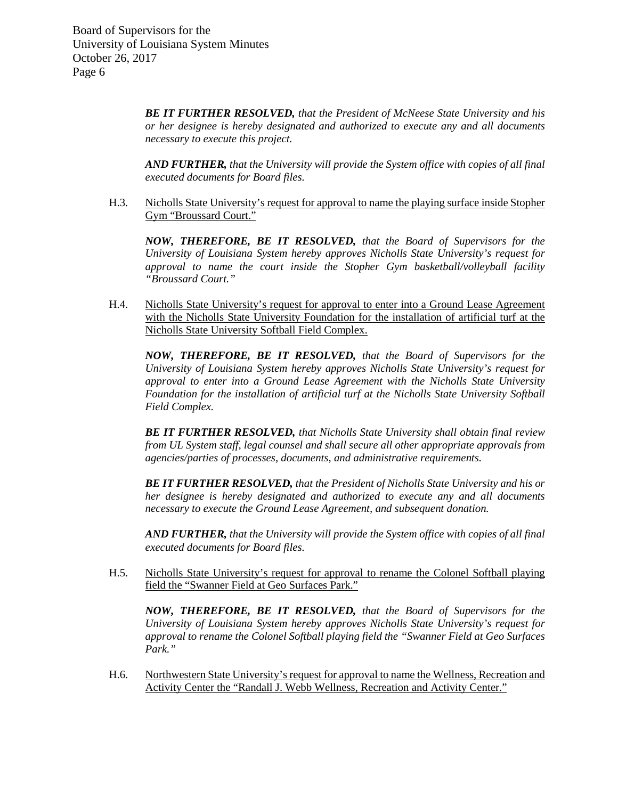> *BE IT FURTHER RESOLVED, that the President of McNeese State University and his or her designee is hereby designated and authorized to execute any and all documents necessary to execute this project.*

> *AND FURTHER, that the University will provide the System office with copies of all final executed documents for Board files.*

H.3. Nicholls State University's request for approval to name the playing surface inside Stopher Gym "Broussard Court."

*NOW, THEREFORE, BE IT RESOLVED, that the Board of Supervisors for the University of Louisiana System hereby approves Nicholls State University's request for approval to name the court inside the Stopher Gym basketball/volleyball facility "Broussard Court."*

H.4. Nicholls State University's request for approval to enter into a Ground Lease Agreement with the Nicholls State University Foundation for the installation of artificial turf at the Nicholls State University Softball Field Complex.

*NOW, THEREFORE, BE IT RESOLVED, that the Board of Supervisors for the University of Louisiana System hereby approves Nicholls State University's request for approval to enter into a Ground Lease Agreement with the Nicholls State University Foundation for the installation of artificial turf at the Nicholls State University Softball Field Complex.* 

*BE IT FURTHER RESOLVED, that Nicholls State University shall obtain final review from UL System staff, legal counsel and shall secure all other appropriate approvals from agencies/parties of processes, documents, and administrative requirements.*

*BE IT FURTHER RESOLVED, that the President of Nicholls State University and his or her designee is hereby designated and authorized to execute any and all documents necessary to execute the Ground Lease Agreement, and subsequent donation.*

*AND FURTHER, that the University will provide the System office with copies of all final executed documents for Board files.*

H.5. Nicholls State University's request for approval to rename the Colonel Softball playing field the "Swanner Field at Geo Surfaces Park."

*NOW, THEREFORE, BE IT RESOLVED, that the Board of Supervisors for the University of Louisiana System hereby approves Nicholls State University's request for approval to rename the Colonel Softball playing field the "Swanner Field at Geo Surfaces Park."*

H.6. Northwestern State University's request for approval to name the Wellness, Recreation and Activity Center the "Randall J. Webb Wellness, Recreation and Activity Center."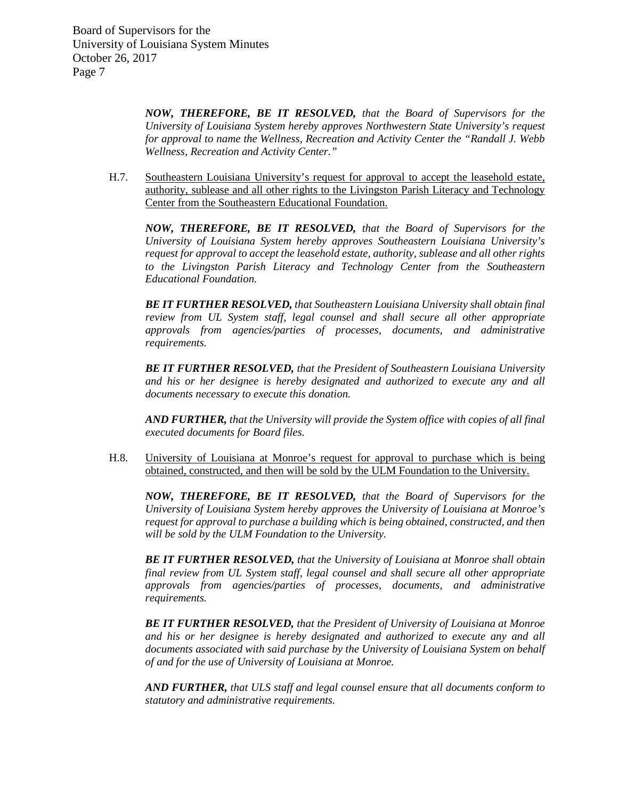> *NOW, THEREFORE, BE IT RESOLVED, that the Board of Supervisors for the University of Louisiana System hereby approves Northwestern State University's request for approval to name the Wellness, Recreation and Activity Center the "Randall J. Webb Wellness, Recreation and Activity Center."*

H.7. Southeastern Louisiana University's request for approval to accept the leasehold estate, authority, sublease and all other rights to the Livingston Parish Literacy and Technology Center from the Southeastern Educational Foundation.

*NOW, THEREFORE, BE IT RESOLVED, that the Board of Supervisors for the University of Louisiana System hereby approves Southeastern Louisiana University's request for approval to accept the leasehold estate, authority, sublease and all other rights to the Livingston Parish Literacy and Technology Center from the Southeastern Educational Foundation.*

*BE IT FURTHER RESOLVED, that Southeastern Louisiana University shall obtain final review from UL System staff, legal counsel and shall secure all other appropriate approvals from agencies/parties of processes, documents, and administrative requirements.* 

*BE IT FURTHER RESOLVED, that the President of Southeastern Louisiana University and his or her designee is hereby designated and authorized to execute any and all documents necessary to execute this donation.* 

*AND FURTHER, that the University will provide the System office with copies of all final executed documents for Board files.*

H.8. University of Louisiana at Monroe's request for approval to purchase which is being obtained, constructed, and then will be sold by the ULM Foundation to the University.

*NOW, THEREFORE, BE IT RESOLVED, that the Board of Supervisors for the University of Louisiana System hereby approves the University of Louisiana at Monroe's request for approval to purchase a building which is being obtained, constructed, and then will be sold by the ULM Foundation to the University.*

*BE IT FURTHER RESOLVED, that the University of Louisiana at Monroe shall obtain final review from UL System staff, legal counsel and shall secure all other appropriate approvals from agencies/parties of processes, documents, and administrative requirements.*

*BE IT FURTHER RESOLVED, that the President of University of Louisiana at Monroe and his or her designee is hereby designated and authorized to execute any and all documents associated with said purchase by the University of Louisiana System on behalf of and for the use of University of Louisiana at Monroe.*

*AND FURTHER, that ULS staff and legal counsel ensure that all documents conform to statutory and administrative requirements.*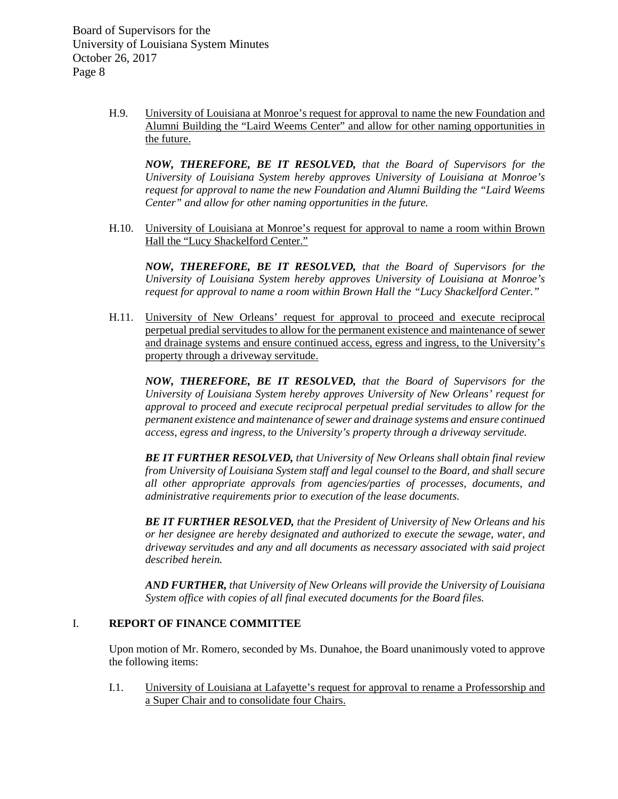> H.9. University of Louisiana at Monroe's request for approval to name the new Foundation and Alumni Building the "Laird Weems Center" and allow for other naming opportunities in the future.

*NOW, THEREFORE, BE IT RESOLVED, that the Board of Supervisors for the University of Louisiana System hereby approves University of Louisiana at Monroe's request for approval to name the new Foundation and Alumni Building the "Laird Weems Center" and allow for other naming opportunities in the future.*

H.10. University of Louisiana at Monroe's request for approval to name a room within Brown Hall the "Lucy Shackelford Center."

*NOW, THEREFORE, BE IT RESOLVED, that the Board of Supervisors for the University of Louisiana System hereby approves University of Louisiana at Monroe's request for approval to name a room within Brown Hall the "Lucy Shackelford Center."*

H.11. University of New Orleans' request for approval to proceed and execute reciprocal perpetual predial servitudes to allow for the permanent existence and maintenance of sewer and drainage systems and ensure continued access, egress and ingress, to the University's property through a driveway servitude.

*NOW, THEREFORE, BE IT RESOLVED, that the Board of Supervisors for the University of Louisiana System hereby approves University of New Orleans' request for approval to proceed and execute reciprocal perpetual predial servitudes to allow for the permanent existence and maintenance of sewer and drainage systems and ensure continued access, egress and ingress, to the University's property through a driveway servitude.* 

*BE IT FURTHER RESOLVED, that University of New Orleans shall obtain final review from University of Louisiana System staff and legal counsel to the Board, and shall secure all other appropriate approvals from agencies/parties of processes, documents, and administrative requirements prior to execution of the lease documents.* 

*BE IT FURTHER RESOLVED, that the President of University of New Orleans and his or her designee are hereby designated and authorized to execute the sewage, water, and driveway servitudes and any and all documents as necessary associated with said project described herein.*

*AND FURTHER, that University of New Orleans will provide the University of Louisiana System office with copies of all final executed documents for the Board files.* 

# I. **REPORT OF FINANCE COMMITTEE**

Upon motion of Mr. Romero, seconded by Ms. Dunahoe, the Board unanimously voted to approve the following items:

I.1. University of Louisiana at Lafayette's request for approval to rename a Professorship and a Super Chair and to consolidate four Chairs.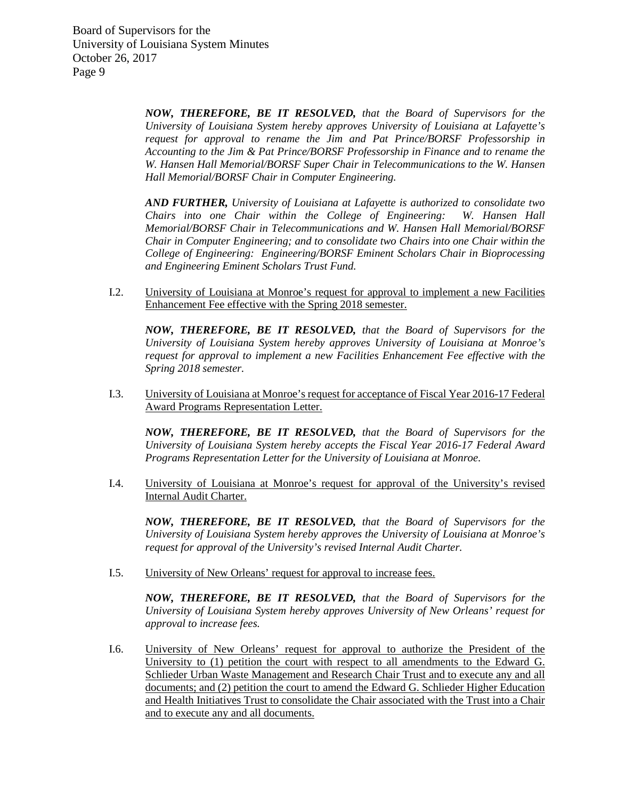> *NOW, THEREFORE, BE IT RESOLVED, that the Board of Supervisors for the University of Louisiana System hereby approves University of Louisiana at Lafayette's request for approval to rename the Jim and Pat Prince/BORSF Professorship in Accounting to the Jim & Pat Prince/BORSF Professorship in Finance and to rename the W. Hansen Hall Memorial/BORSF Super Chair in Telecommunications to the W. Hansen Hall Memorial/BORSF Chair in Computer Engineering.*

> *AND FURTHER, University of Louisiana at Lafayette is authorized to consolidate two Chairs into one Chair within the College of Engineering: W. Hansen Hall Memorial/BORSF Chair in Telecommunications and W. Hansen Hall Memorial/BORSF Chair in Computer Engineering; and to consolidate two Chairs into one Chair within the College of Engineering: Engineering/BORSF Eminent Scholars Chair in Bioprocessing and Engineering Eminent Scholars Trust Fund.*

I.2. University of Louisiana at Monroe's request for approval to implement a new Facilities Enhancement Fee effective with the Spring 2018 semester.

*NOW, THEREFORE, BE IT RESOLVED, that the Board of Supervisors for the University of Louisiana System hereby approves University of Louisiana at Monroe's request for approval to implement a new Facilities Enhancement Fee effective with the Spring 2018 semester.*

I.3. University of Louisiana at Monroe's request for acceptance of Fiscal Year 2016-17 Federal Award Programs Representation Letter.

*NOW, THEREFORE, BE IT RESOLVED, that the Board of Supervisors for the University of Louisiana System hereby accepts the Fiscal Year 2016-17 Federal Award Programs Representation Letter for the University of Louisiana at Monroe.* 

I.4. University of Louisiana at Monroe's request for approval of the University's revised Internal Audit Charter.

*NOW, THEREFORE, BE IT RESOLVED, that the Board of Supervisors for the University of Louisiana System hereby approves the University of Louisiana at Monroe's request for approval of the University's revised Internal Audit Charter.*

I.5. University of New Orleans' request for approval to increase fees.

*NOW, THEREFORE, BE IT RESOLVED, that the Board of Supervisors for the University of Louisiana System hereby approves University of New Orleans' request for approval to increase fees.* 

I.6. University of New Orleans' request for approval to authorize the President of the University to (1) petition the court with respect to all amendments to the Edward G. Schlieder Urban Waste Management and Research Chair Trust and to execute any and all documents; and (2) petition the court to amend the Edward G. Schlieder Higher Education and Health Initiatives Trust to consolidate the Chair associated with the Trust into a Chair and to execute any and all documents.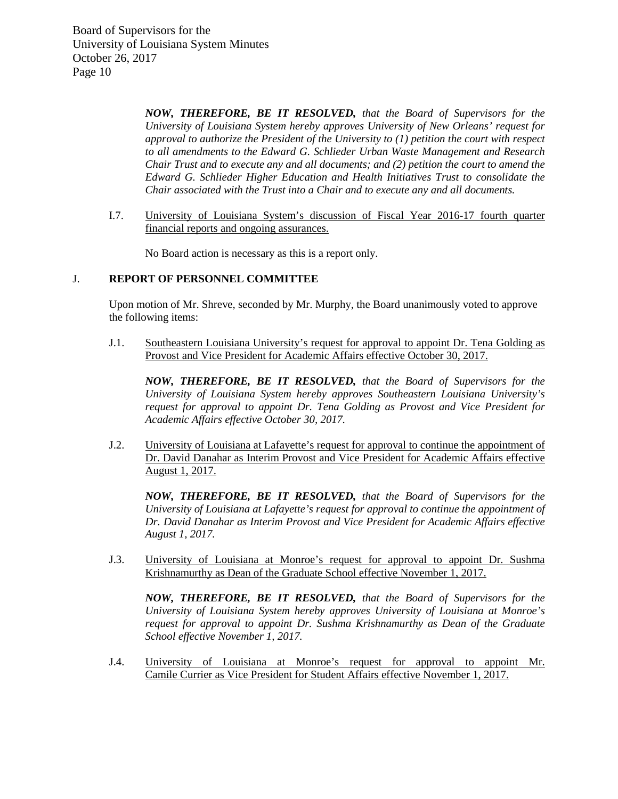> *NOW, THEREFORE, BE IT RESOLVED, that the Board of Supervisors for the University of Louisiana System hereby approves University of New Orleans' request for approval to authorize the President of the University to (1) petition the court with respect to all amendments to the Edward G. Schlieder Urban Waste Management and Research Chair Trust and to execute any and all documents; and (2) petition the court to amend the Edward G. Schlieder Higher Education and Health Initiatives Trust to consolidate the Chair associated with the Trust into a Chair and to execute any and all documents.*

I.7. University of Louisiana System's discussion of Fiscal Year 2016-17 fourth quarter financial reports and ongoing assurances.

No Board action is necessary as this is a report only.

#### J. **REPORT OF PERSONNEL COMMITTEE**

Upon motion of Mr. Shreve, seconded by Mr. Murphy, the Board unanimously voted to approve the following items:

J.1. Southeastern Louisiana University's request for approval to appoint Dr. Tena Golding as Provost and Vice President for Academic Affairs effective October 30, 2017.

*NOW, THEREFORE, BE IT RESOLVED, that the Board of Supervisors for the University of Louisiana System hereby approves Southeastern Louisiana University's request for approval to appoint Dr. Tena Golding as Provost and Vice President for Academic Affairs effective October 30, 2017.*

J.2. University of Louisiana at Lafayette's request for approval to continue the appointment of Dr. David Danahar as Interim Provost and Vice President for Academic Affairs effective August 1, 2017.

*NOW, THEREFORE, BE IT RESOLVED, that the Board of Supervisors for the University of Louisiana at Lafayette's request for approval to continue the appointment of Dr. David Danahar as Interim Provost and Vice President for Academic Affairs effective August 1, 2017.*

J.3. University of Louisiana at Monroe's request for approval to appoint Dr. Sushma Krishnamurthy as Dean of the Graduate School effective November 1, 2017.

*NOW, THEREFORE, BE IT RESOLVED, that the Board of Supervisors for the University of Louisiana System hereby approves University of Louisiana at Monroe's request for approval to appoint Dr. Sushma Krishnamurthy as Dean of the Graduate School effective November 1, 2017.*

J.4. University of Louisiana at Monroe's request for approval to appoint Mr. Camile Currier as Vice President for Student Affairs effective November 1, 2017.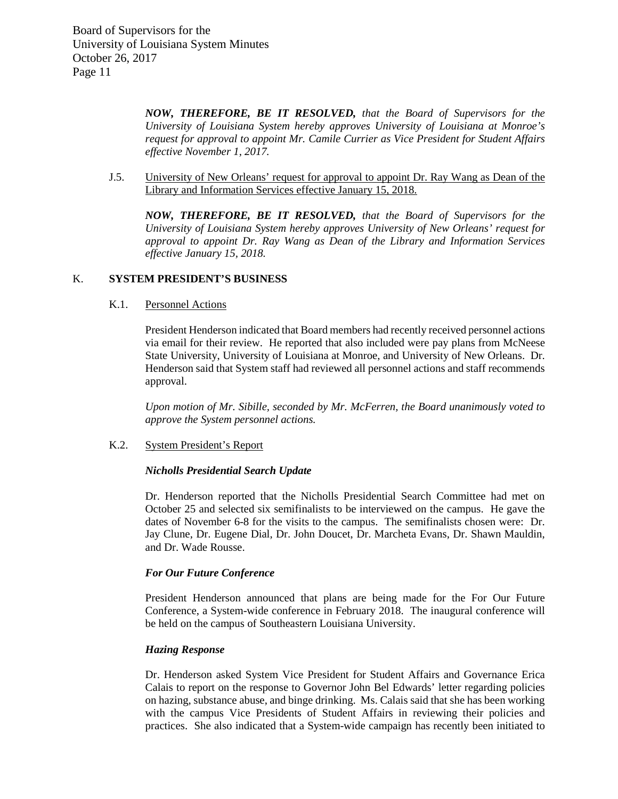> *NOW, THEREFORE, BE IT RESOLVED, that the Board of Supervisors for the University of Louisiana System hereby approves University of Louisiana at Monroe's request for approval to appoint Mr. Camile Currier as Vice President for Student Affairs effective November 1, 2017.*

J.5. University of New Orleans' request for approval to appoint Dr. Ray Wang as Dean of the Library and Information Services effective January 15, 2018.

*NOW, THEREFORE, BE IT RESOLVED, that the Board of Supervisors for the University of Louisiana System hereby approves University of New Orleans' request for approval to appoint Dr. Ray Wang as Dean of the Library and Information Services effective January 15, 2018.*

## K. **SYSTEM PRESIDENT'S BUSINESS**

#### K.1. Personnel Actions

President Henderson indicated that Board members had recently received personnel actions via email for their review. He reported that also included were pay plans from McNeese State University, University of Louisiana at Monroe, and University of New Orleans. Dr. Henderson said that System staff had reviewed all personnel actions and staff recommends approval.

*Upon motion of Mr. Sibille, seconded by Mr. McFerren, the Board unanimously voted to approve the System personnel actions.*

#### K.2. System President's Report

#### *Nicholls Presidential Search Update*

Dr. Henderson reported that the Nicholls Presidential Search Committee had met on October 25 and selected six semifinalists to be interviewed on the campus. He gave the dates of November 6-8 for the visits to the campus. The semifinalists chosen were: Dr. Jay Clune, Dr. Eugene Dial, Dr. John Doucet, Dr. Marcheta Evans, Dr. Shawn Mauldin, and Dr. Wade Rousse.

#### *For Our Future Conference*

President Henderson announced that plans are being made for the For Our Future Conference, a System-wide conference in February 2018. The inaugural conference will be held on the campus of Southeastern Louisiana University.

## *Hazing Response*

Dr. Henderson asked System Vice President for Student Affairs and Governance Erica Calais to report on the response to Governor John Bel Edwards' letter regarding policies on hazing, substance abuse, and binge drinking. Ms. Calais said that she has been working with the campus Vice Presidents of Student Affairs in reviewing their policies and practices. She also indicated that a System-wide campaign has recently been initiated to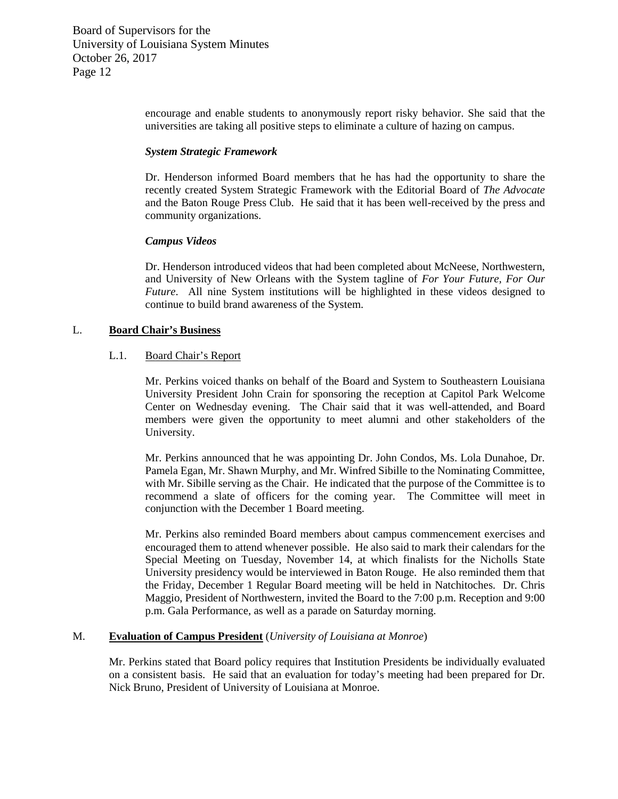> encourage and enable students to anonymously report risky behavior. She said that the universities are taking all positive steps to eliminate a culture of hazing on campus.

#### *System Strategic Framework*

Dr. Henderson informed Board members that he has had the opportunity to share the recently created System Strategic Framework with the Editorial Board of *The Advocate* and the Baton Rouge Press Club. He said that it has been well-received by the press and community organizations.

# *Campus Videos*

Dr. Henderson introduced videos that had been completed about McNeese, Northwestern, and University of New Orleans with the System tagline of *For Your Future, For Our Future*. All nine System institutions will be highlighted in these videos designed to continue to build brand awareness of the System.

# L. **Board Chair's Business**

## L.1. Board Chair's Report

Mr. Perkins voiced thanks on behalf of the Board and System to Southeastern Louisiana University President John Crain for sponsoring the reception at Capitol Park Welcome Center on Wednesday evening. The Chair said that it was well-attended, and Board members were given the opportunity to meet alumni and other stakeholders of the University.

Mr. Perkins announced that he was appointing Dr. John Condos, Ms. Lola Dunahoe, Dr. Pamela Egan, Mr. Shawn Murphy, and Mr. Winfred Sibille to the Nominating Committee, with Mr. Sibille serving as the Chair. He indicated that the purpose of the Committee is to recommend a slate of officers for the coming year. The Committee will meet in conjunction with the December 1 Board meeting.

Mr. Perkins also reminded Board members about campus commencement exercises and encouraged them to attend whenever possible. He also said to mark their calendars for the Special Meeting on Tuesday, November 14, at which finalists for the Nicholls State University presidency would be interviewed in Baton Rouge. He also reminded them that the Friday, December 1 Regular Board meeting will be held in Natchitoches. Dr. Chris Maggio, President of Northwestern, invited the Board to the 7:00 p.m. Reception and 9:00 p.m. Gala Performance, as well as a parade on Saturday morning.

## M. **Evaluation of Campus President** (*University of Louisiana at Monroe*)

Mr. Perkins stated that Board policy requires that Institution Presidents be individually evaluated on a consistent basis. He said that an evaluation for today's meeting had been prepared for Dr. Nick Bruno, President of University of Louisiana at Monroe.